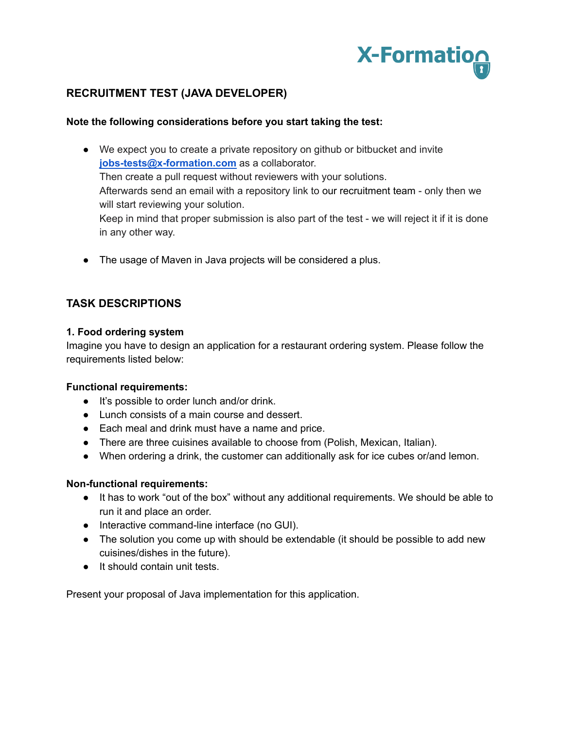

# **RECRUITMENT TEST (JAVA DEVELOPER)**

### **Note the following considerations before you start taking the test:**

- We expect you to create a private repository on github or bitbucket and invite **[jobs-tests@x-formation.com](mailto:jobs-tests@x-formation.com)** as a collaborator. Then create a pull request without reviewers with your solutions. Afterwards send an email with a repository link to our recruitment team - only then we will start reviewing your solution. Keep in mind that proper submission is also part of the test - we will reject it if it is done in any other way.
- The usage of Maven in Java projects will be considered a plus.

## **TASK DESCRIPTIONS**

### **1. Food ordering system**

Imagine you have to design an application for a restaurant ordering system. Please follow the requirements listed below:

### **Functional requirements:**

- It's possible to order lunch and/or drink.
- Lunch consists of a main course and dessert.
- Each meal and drink must have a name and price.
- There are three cuisines available to choose from (Polish, Mexican, Italian).
- When ordering a drink, the customer can additionally ask for ice cubes or/and lemon.

### **Non-functional requirements:**

- It has to work "out of the box" without any additional requirements. We should be able to run it and place an order.
- Interactive command-line interface (no GUI).
- The solution you come up with should be extendable (it should be possible to add new cuisines/dishes in the future).
- It should contain unit tests.

Present your proposal of Java implementation for this application.